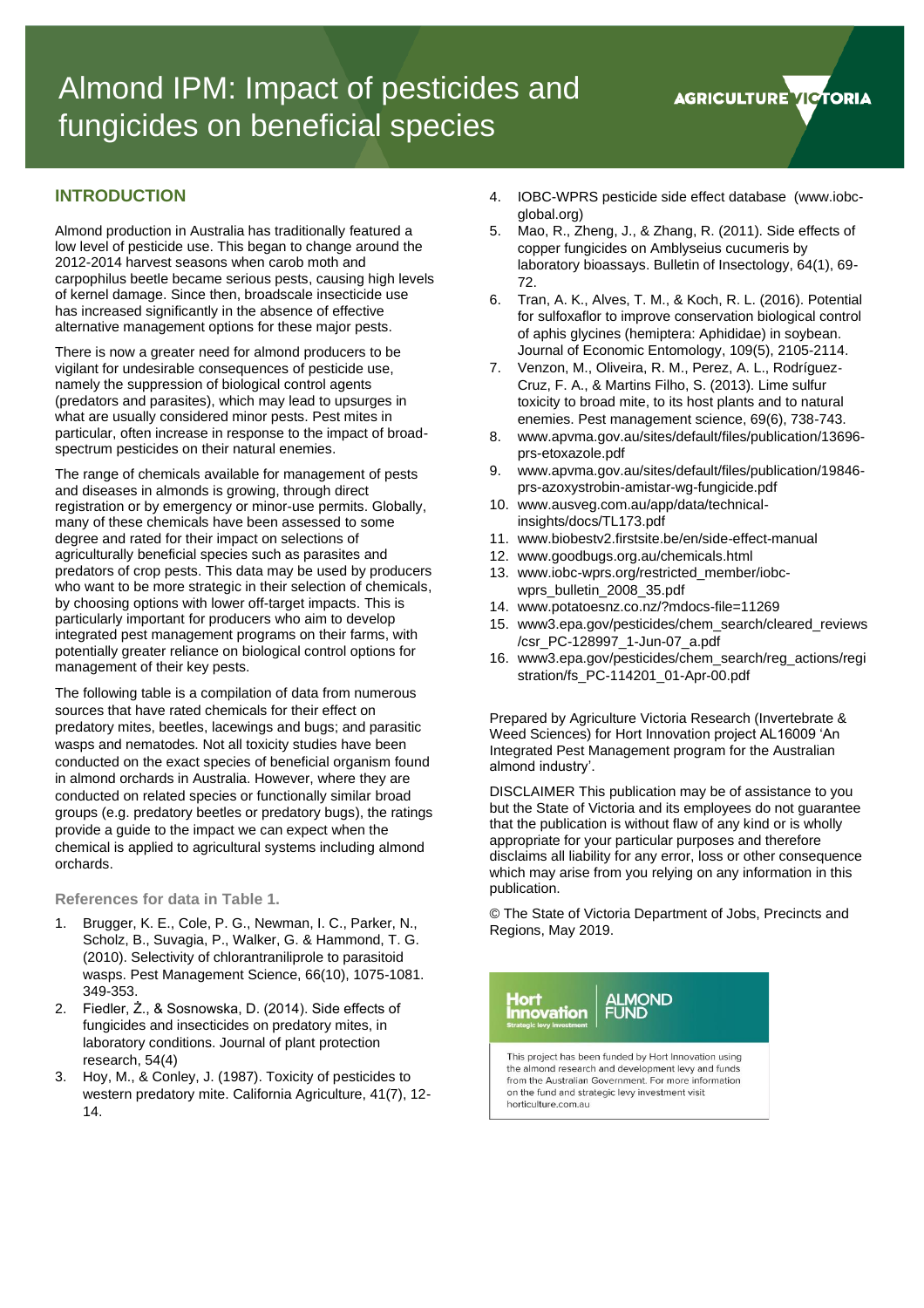

## **INTRODUCTION**

Almond production in Australia has traditionally featured a low level of pesticide use. This began to change around the 2012-2014 harvest seasons when carob moth and carpophilus beetle became serious pests, causing high levels of kernel damage. Since then, broadscale insecticide use has increased significantly in the absence of effective alternative management options for these major pests.

There is now a greater need for almond producers to be vigilant for undesirable consequences of pesticide use, namely the suppression of biological control agents (predators and parasites), which may lead to upsurges in what are usually considered minor pests. Pest mites in particular, often increase in response to the impact of broadspectrum pesticides on their natural enemies.

The range of chemicals available for management of pests and diseases in almonds is growing, through direct registration or by emergency or minor-use permits. Globally, many of these chemicals have been assessed to some degree and rated for their impact on selections of agriculturally beneficial species such as parasites and predators of crop pests. This data may be used by producers who want to be more strategic in their selection of chemicals, by choosing options with lower off-target impacts. This is particularly important for producers who aim to develop integrated pest management programs on their farms, with potentially greater reliance on biological control options for management of their key pests.

The following table is a compilation of data from numerous sources that have rated chemicals for their effect on predatory mites, beetles, lacewings and bugs; and parasitic wasps and nematodes. Not all toxicity studies have been conducted on the exact species of beneficial organism found in almond orchards in Australia. However, where they are conducted on related species or functionally similar broad groups (e.g. predatory beetles or predatory bugs), the ratings provide a guide to the impact we can expect when the chemical is applied to agricultural systems including almond orchards.

**References for data in Table 1.**

- 1. Brugger, K. E., Cole, P. G., Newman, I. C., Parker, N., Scholz, B., Suvagia, P., Walker, G. & Hammond, T. G. (2010). Selectivity of chlorantraniliprole to parasitoid wasps. Pest Management Science, 66(10), 1075-1081. 349-353.
- 2. Fiedler, Ż., & Sosnowska, D. (2014). Side effects of fungicides and insecticides on predatory mites, in laboratory conditions. Journal of plant protection research, 54(4)
- 3. Hoy, M., & Conley, J. (1987). Toxicity of pesticides to western predatory mite. California Agriculture, 41(7), 12- 14.
- 4. IOBC-WPRS pesticide side effect database (www.iobcglobal.org)
- 5. Mao, R., Zheng, J., & Zhang, R. (2011). Side effects of copper fungicides on Amblyseius cucumeris by laboratory bioassays. Bulletin of Insectology, 64(1), 69- 72.
- 6. Tran, A. K., Alves, T. M., & Koch, R. L. (2016). Potential for sulfoxaflor to improve conservation biological control of aphis glycines (hemiptera: Aphididae) in soybean. Journal of Economic Entomology, 109(5), 2105-2114.
- 7. Venzon, M., Oliveira, R. M., Perez, A. L., Rodríguez‐ Cruz, F. A., & Martins Filho, S. (2013). Lime sulfur toxicity to broad mite, to its host plants and to natural enemies. Pest management science, 69(6), 738-743.
- 8. www.apvma.gov.au/sites/default/files/publication/13696 prs-etoxazole.pdf
- 9. www.apvma.gov.au/sites/default/files/publication/19846 prs-azoxystrobin-amistar-wg-fungicide.pdf
- 10. www.ausveg.com.au/app/data/technicalinsights/docs/TL173.pdf
- 11. www.biobestv2.firstsite.be/en/side-effect-manual
- 12. www.goodbugs.org.au/chemicals.html
- 13. www.iobc-wprs.org/restricted\_member/iobcwprs\_bulletin\_2008\_35.pdf
- 14. www.potatoesnz.co.nz/?mdocs-file=11269
- 15. www3.epa.gov/pesticides/chem\_search/cleared\_reviews /csr\_PC-128997\_1-Jun-07\_a.pdf
- 16. www3.epa.gov/pesticides/chem\_search/reg\_actions/regi stration/fs\_PC-114201\_01-Apr-00.pdf

Prepared by Agriculture Victoria Research (Invertebrate & Weed Sciences) for Hort Innovation project AL16009 'An Integrated Pest Management program for the Australian almond industry'.

DISCLAIMER This publication may be of assistance to you but the State of Victoria and its employees do not guarantee that the publication is without flaw of any kind or is wholly appropriate for your particular purposes and therefore disclaims all liability for any error, loss or other consequence which may arise from you relying on any information in this publication.

© The State of Victoria Department of Jobs, Precincts and Regions, May 2019.